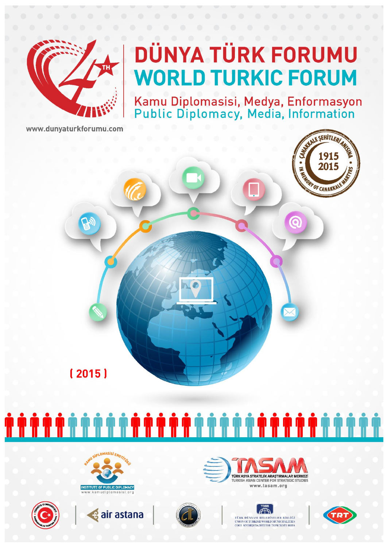

Kamu Diplomasisi, Medya, Enformasyon<br>Public Diplomacy, Media, Information

www.dunvaturkforumu.com

















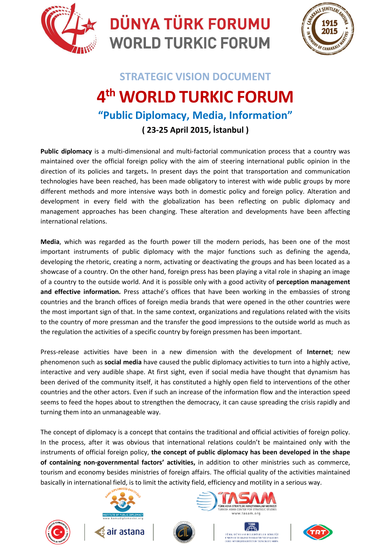



### **STRATEGIC VISION DOCUMENT 4 th WORLD TURKIC FORUM "Public Diplomacy, Media, Information"**

**( 23-25 April 2015, İstanbul )**

**Public diplomacy** is a multi-dimensional and multi-factorial communication process that a country was maintained over the official foreign policy with the aim of steering international public opinion in the direction of its policies and targets**.** In present days the point that transportation and communication technologies have been reached, has been made obligatory to interest with wide public groups by more different methods and more intensive ways both in domestic policy and foreign policy. Alteration and development in every field with the globalization has been reflecting on public diplomacy and management approaches has been changing. These alteration and developments have been affecting international relations.

**Media**, which was regarded as the fourth power till the modern periods, has been one of the most important instruments of public diplomacy with the major functions such as defining the agenda, developing the rhetoric, creating a norm, activating or deactivating the groups and has been located as a showcase of a country. On the other hand, foreign press has been playing a vital role in shaping an image of a country to the outside world. And it is possible only with a good activity of **perception management and effective information.** Press attaché's offices that have been working in the embassies of strong countries and the branch offices of foreign media brands that were opened in the other countries were the most important sign of that. In the same context, organizations and regulations related with the visits to the country of more pressman and the transfer the good impressions to the outside world as much as the regulation the activities of a specific country by foreign pressmen has been important.

Press-release activities have been in a new dimension with the development of **Internet**; new phenomenon such as **social media** have caused the public diplomacy activities to turn into a highly active, interactive and very audible shape. At first sight, even if social media have thought that dynamism has been derived of the community itself, it has constituted a highly open field to interventions of the other countries and the other actors. Even if such an increase of the information flow and the interaction speed seems to feed the hopes about to strengthen the democracy, it can cause spreading the crisis rapidly and turning them into an unmanageable way.

The concept of diplomacy is a concept that contains the traditional and official activities of foreign policy. In the process, after it was obvious that international relations couldn't be maintained only with the instruments of official foreign policy, **the concept of public diplomacy has been developed in the shape of containing non-governmental factors' activities,** in addition to other ministries such as commerce, tourism and economy besides ministries of foreign affairs. The official quality of the activities maintained basically in international field, is to limit the activity field, efficiency and motility in a serious way.







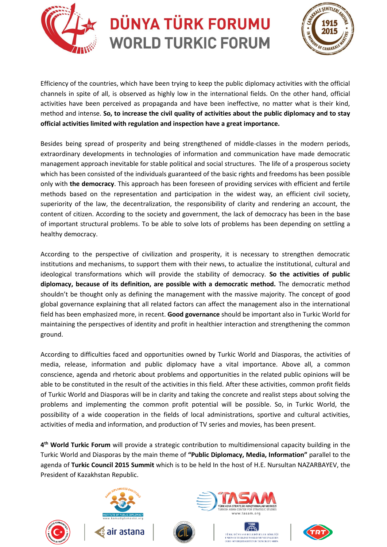



Efficiency of the countries, which have been trying to keep the public diplomacy activities with the official channels in spite of all, is observed as highly low in the international fields. On the other hand, official activities have been perceived as propaganda and have been ineffective, no matter what is their kind, method and intense. **So, to increase the civil quality of activities about the public diplomacy and to stay official activities limited with regulation and inspection have a great importance.**

Besides being spread of prosperity and being strengthened of middle-classes in the modern periods, extraordinary developments in technologies of information and communication have made democratic management approach inevitable for stable political and social structures. The life of a prosperous society which has been consisted of the individuals guaranteed of the basic rights and freedoms has been possible only with **the democracy**. This approach has been foreseen of providing services with efficient and fertile methods based on the representation and participation in the widest way, an efficient civil society, superiority of the law, the decentralization, the responsibility of clarity and rendering an account, the content of citizen. According to the society and government, the lack of democracy has been in the base of important structural problems. To be able to solve lots of problems has been depending on settling a healthy democracy.

According to the perspective of civilization and prosperity, it is necessary to strengthen democratic institutions and mechanisms, to support them with their news, to actualize the institutional, cultural and ideological transformations which will provide the stability of democracy. **So the activities of public diplomacy, because of its definition, are possible with a democratic method.** The democratic method shouldn't be thought only as defining the management with the massive majority. The concept of good global governance explaining that all related factors can affect the management also in the international field has been emphasized more, in recent. **Good governance** should be important also in Turkic World for maintaining the perspectives of identity and profit in healthier interaction and strengthening the common ground.

According to difficulties faced and opportunities owned by Turkic World and Diasporas, the activities of media, release, information and public diplomacy have a vital importance. Above all, a common conscience, agenda and rhetoric about problems and opportunities in the related public opinions will be able to be constituted in the result of the activities in this field. After these activities, common profit fields of Turkic World and Diasporas will be in clarity and taking the concrete and realist steps about solving the problems and implementing the common profit potential will be possible. So, in Turkic World, the possibility of a wide cooperation in the fields of local administrations, sportive and cultural activities, activities of media and information, and production of TV series and movies, has been present.

**4 th World Turkic Forum** will provide a strategic contribution to multidimensional capacity building in the Turkic World and Diasporas by the main theme of **"Public Diplomacy, Media, Information"** parallel to the agenda of **Turkic Council 2015 Summit** which is to be held In the host of H.E. Nursultan NAZARBAYEV, the President of Kazakhstan Republic.







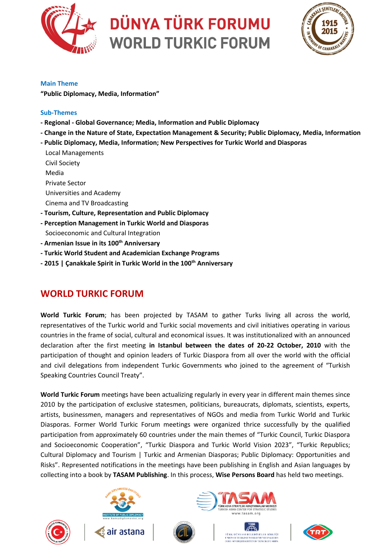



#### **Main Theme**

**"Public Diplomacy, Media, Information"**

#### **Sub-Themes**

- **- Regional - Global Governance; Media, Information and Public Diplomacy**
- **- Change in the Nature of State, Expectation Management & Security; Public Diplomacy, Media, Information**
- **- Public Diplomacy, Media, Information; New Perspectives for Turkic World and Diasporas**
- Local Managements Civil Society Media Private Sector Universities and Academy Cinema and TV Broadcasting **- Tourism, Culture, Representation and Public Diplomacy - Perception Management in Turkic World and Diasporas** Socioeconomic and Cultural Integration
- **- Armenian Issue in its 100th Anniversary**
- **- Turkic World Student and Academician Exchange Programs**
- **- 2015 | Çanakkale Spirit in Turkic World in the 100th Anniversary**

#### **WORLD TURKIC FORUM**

**World Turkic Forum**; has been projected by TASAM to gather Turks living all across the world, representatives of the Turkic world and Turkic social movements and civil initiatives operating in various countries in the frame of social, cultural and economical issues. It was institutionalized with an announced declaration after the first meeting **in Istanbul between the dates of 20-22 October, 2010** with the participation of thought and opinion leaders of Turkic Diaspora from all over the world with the official and civil delegations from independent Turkic Governments who joined to the agreement of "Turkish Speaking Countries Council Treaty".

**World Turkic Forum** meetings have been actualizing regularly in every year in different main themes since 2010 by the participation of exclusive statesmen, politicians, bureaucrats, diplomats, scientists, experts, artists, businessmen, managers and representatives of NGOs and media from Turkic World and Turkic Diasporas. Former World Turkic Forum meetings were organized thrice successfully by the qualified participation from approximately 60 countries under the main themes of "Turkic Council, Turkic Diaspora and Socioeconomic Cooperation", "Turkic Diaspora and Turkic World Vision 2023", "Turkic Republics; Cultural Diplomacy and Tourism | Turkic and Armenian Diasporas; Public Diplomacy: Opportunities and Risks". Represented notifications in the meetings have been publishing in English and Asian languages by collecting into a book by **TASAM Publishing**. In this process, **Wise Persons Board** has held two meetings.







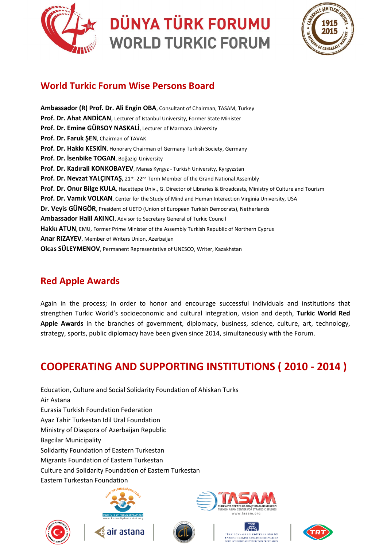



#### **World Turkic Forum Wise Persons Board**

**Ambassador (R) Prof. Dr. Ali Engin OBA**, Consultant of Chairman, TASAM, Turkey **Prof. Dr. Ahat ANDİCAN**, Lecturer of Istanbul University, Former State Minister **Prof. Dr. Emine GÜRSOY NASKALİ**, Lecturer of Marmara University **Prof. Dr. Faruk ŞEN**, Chairman of TAVAK **Prof. Dr. Hakkı KESKİN**, Honorary Chairman of Germany Turkish Society, Germany **Prof. Dr. İsenbike TOGAN**, Boğaziçi University **Prof. Dr. Kadırali KONKOBAYEV**, Manas Kyrgyz - Turkish University, Kyrgyzstan **Prof. Dr. Nevzat YALÇINTAŞ,** 21st–22nd Term Member of the Grand National Assembly **Prof. Dr. Onur Bilge KULA**, Hacettepe Univ., G. Director of Libraries & Broadcasts, Ministry of Culture and Tourism **Prof. Dr. Vamık VOLKAN**, Center for the Study of Mind and Human Interaction Virginia University, USA **Dr. Veyis GÜNGÖR**, President of UETD (Union of European Turkish Democrats), Netherlands **Ambassador Halil AKINCI**, Advisor to Secretary General of Turkic Council **Hakkı ATUN**, EMU, Former Prime Minister of the Assembly Turkish Republic of Northern Cyprus **Anar RIZAYEV**, Member of Writers Union, Azerbaijan **Olcas SÜLEYMENOV**, Permanent Representative of UNESCO, Writer, Kazakhstan

#### **Red Apple Awards**

Again in the process; in order to honor and encourage successful individuals and institutions that strengthen Turkic World's socioeconomic and cultural integration, vision and depth, **Turkic World Red Apple Awards** in the branches of government, diplomacy, business, science, culture, art, technology, strategy, sports, public diplomacy have been given since 2014, simultaneously with the Forum.

### **COOPERATING AND SUPPORTING INSTITUTIONS ( 2010 - 2014 )**

Education, Culture and Social Solidarity Foundation of Ahiskan Turks Air Astana Eurasia Turkish Foundation Federation Ayaz Tahir Turkestan Idil Ural Foundation Ministry of Diaspora of Azerbaijan Republic Bagcilar Municipality Solidarity Foundation of Eastern Turkestan Migrants Foundation of Eastern Turkestan Culture and Solidarity Foundation of Eastern Turkestan Eastern Turkestan Foundation







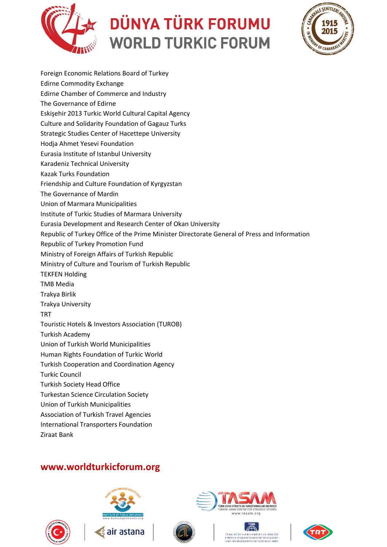



Foreign Economic Relations Board of Turkey Edirne Commodity Exchange Edirne Chamber of Commerce and Industry The Governance of Edirne Eskişehir 2013 Turkic World Cultural Capital Agency Culture and Solidarity Foundation of Gagauz Turks Strategic Studies Center of Hacettepe University Hodja Ahmet Yesevi Foundation Eurasia Institute of Istanbul University Karadeniz Technical University Kazak Turks Foundation Friendship and Culture Foundation of Kyrgyzstan The Governance of Mardin Union of Marmara Municipalities Institute of Turkic Studies of Marmara University Eurasia Development and Research Center of Okan University Republic of Turkey Office of the Prime Minister Directorate General of Press and Information Republic of Turkey Promotion Fund Ministry of Foreign Affairs of Turkish Republic Ministry of Culture and Tourism of Turkish Republic TEKFEN Holding TMB Media Trakya Birlik Trakya University **TRT** Touristic Hotels & Investors Association (TUROB) Turkish Academy Union of Turkish World Municipalities Human Rights Foundation of Turkic World Turkish Cooperation and Coordination Agency Turkic Council Turkish Society Head Office Turkestan Science Circulation Society Union of Turkish Municipalities Association of Turkish Travel Agencies International Transporters Foundation Ziraat Bank

#### **www.worldturkicforum.org**